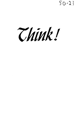$50 - 23$ 

Think!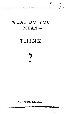$50 - 23$ 

## WHAT DO YOU  $MEAN -$

# THINK

Copyright 1950. G. Lake Imes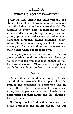## THINK

#### WHAT DO YOU MEAN-THINK?

TOP FLIGHT BUSINESS MEN will tell you<br>
that the ability to think is the rarest commodity in the industrial and commercial world. Executives in every field-manufacturing, construction, distribution, transportation, communication, promotion, salesmanship, advertising, personnel directing, public relations-everywhere those who are responsible for results are crying for men and women who can use their heads when put on their own.

Such people are scarce, as hard to find as the proverbial needle in a haystack. Some executives will tell you that they cannot be had for love or money. When one turns up he is worth his weight in gold--or diamonds, even.

## **Demand**

Certain it is that the demand for people who can think far exceeds the supply. And the greater our expansion in commerce and industry, the greater is the demand for people who think, for people who use their heads in the performance of their duties and the solution of their problems.

Not long ago I talked with a man who had a big promotion job on his hands. He was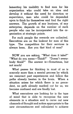lamenting his inability to find men for his organization who could take an idea and develop it without the need for direction or supervision, men who could be depended upon to think for themselves and find the right answers. The growth of any business, of any enterprise, depends on the number of such people who can be incorporated into the organization at strategic points.

For such people the rewards are unlimited. Executives are on the lookout for men of this type. The competition for their services is always keen. Are you that kind of man?

NOW you are asking, "What does it take?" "What do you mean-Think?" "Doesn't everybody think?" The answer is-Sometimes, but not much!

What passes for thinking in most of us is scarcely more than a mental process by which we resurrect past experiences and follow the paths already beaten in the brain. When a situation arises for which there is no precedent, no path already marked out for us, we become confused and are finally lost.

What executives are looking for is the type of mind that is able to recognize the new elements in a situation and to carve out new channels of thought and action appropriate to the new circumstances and calculated to achieve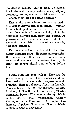the desired results. This is *Real* **Thinking!**  It is in demand in every field-science, religion, literature, art, education, social service, government, every area of human endeavor.

This is the area where progress is made. It is vital to growth and development. Without it there is stagnation and decay. It is the fertilizing element in all human activity. It is the difference between mediocrity and genius. Its possession makes one man stand out like a mountain on a plain. It is what we mean by "creative thinking."

The man who has it is bound to rise. You cannot keep him down. He surmounts obstacles. He overcomes difficulties. He creates new ways and methods. He solves hard problems. He forges ahead and nothing defeats him.

SOME MEN are born with it. They are the pioneers of progress. Their names stand out like peaks in a mountain range-Benjamin Franklin, Thomas Jefferson, Abraham Lincoln, Thomas Edison, the Wright Brothers, Charles Lindberg, Luther Burbank, Henry Ford, Charles Steinmetz, Booker Washington, George Washington Carver, John Wanamaker, Andrew Carnegie, Julius Rosenwald, Christopher Columbus, Napoleon Bonaparte, George Washington, to mention only a few.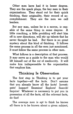Other men have had it in lesser degree. They are the spark plugs, the key men in their organizations. They stand out for their quick thinking, their originality, their record of accomplishment. They are the men we call leaders.

But any man, unless he is a moron, is capable of the same thing in some degree. A little coaching, a little prodding will start him off in new directions, will stir up talents that he never thought he had. But there is no great mystery about this kind of thinking. It follows the same process in all the men just mentioned. It must follow the same process in other men.

What follows is a description of that process. It may serve as a guide to the man who would lift himself out of the rut of mediocrity. It will make him indispensable to the organization that employs him.

## **Thinking Is Observation**

The first step in Thinking is to get your facts together-all the facts. Don't assume that you already know all the facts! Investigate! Inspect! Examine! Explore! Search! Inquire! Whatever is necessary to put you in possession of all the facts, all the relevant facts, do that!

The average **man** is apt to think he knows all there is to be known about a given subject,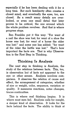especially if he has been dealing with it for a long time. But such familiarity often creates a closed mind, and eventually the eyes, too, are closed. As a result many details are overlooked, or even one small detail that later proves to be critical, the one around which the whole problem revolves. And that is where progress stops.

Ben Franklin put it this way: "For want of a nail the shoe was lost; for want of a shoe the horse was lost; for want of a horse the rider was lost;" and some one has added: "for want of the rider the battle was lost." That's how important the facts are. That is why Observation is the First Step in Thinking.

#### **Thinkinq Is Analysis**

The next step in thinking is Analysis, the study of the relations between facts. This, too, is observation but of facts not apparent to the eye or other senses. Analysis involves comparison. It observes the relation of cause **and**  effect, the arrangement of categories, whether of size or weight, color, sequence, variation or quality. It measures reactions, notes changes, traces continuities.

This is where real thinking begins. It is where most men fail. Analysis calls for insight, a deeper kind of observation. It looks for the facts behind the facts. The ability to think at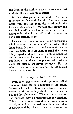this level is the ability to discern relations that underlie the obvious phenomena.

All this takes place in the mind. The brain is the tool for this kind of work. The brain interprets what the eye sees, the hand feels, the instruments measure. Without this faculty the man is himself only a tool, a cog in a machine, doing only what he is told to do or what he has been trained to do.

This kind of thinking calls for an inquisitive mind, a mind that asks how? and why?, that looks beneath the surface and never stops asking questions. It is the kind of mind that takes things apart and puts them together again or makes new combinations. The man who has this kind of mind will go places, will make a place for himself wherever he goes. He has what it takes to make an executive. He makes himself indispensable.

#### **Thinking Is Evaluation**

Evaluation comes next in the process called thinking. This, too, is a function of the brain. To evaluate is to distinguish between the important and the unimportant. Importance is gauged by objectives. What is important for one purpose may be unimportant for another. Value or importance may depend upon a wide variety of factors. In dealing with things, value is determined by physical factors, in some **in-**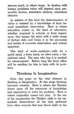stances small, in others large. In dealing with human problems value will depend upon personality factors, sometimes obvious, sometimes obscure.

In matters of this kind the determination of value is assisted by a knowledge of facts beyond immediate observation. Here is where education comes in, the kind of education, ..whether acquired in schools or from experience, that equips the mind with a wide range of factual data and trains it in the processes and habits of accurate observation and critical appraisal.

This kind of work--analysis--calls for a quick mind, a keen mind, an alert mind, a disciplined mind. The man who has it is marked for advancement. Before long the front office will be sending for him to help with its problems.

#### **Thinking Is Imagination**

From this point on the vital element in thinking is Imagination. At this stage thinking becomes creative. Here is where the Thinker draws upon all his resources of knowledge and experience to solve his problem. Here is where originality comes into play. In the use of his imagination the Thinker adds to his immediate observations all the data gathered from other sources that may throw light on his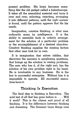present problem. His brain becomes something like the old gadget called a kaleidoscope. It takes all the assembled material and turns it over and over, selecting, rejecting, arranging it into different patterns, until the right answer is found, until the pattern appears that fits his needs.

Imagination, creative thinking, is what men ordinarily mean by intelligence. It is the ability to assemble facts in orderly arrangement for the solution of a particular problem or the accomplishment of a desired objective. Creative thinking supplies the missing factors that other men look for in vain.

It is imagination that solves riddles, that discovers the answers to perplexing questions, that brings up the solution to vexing problems. The man who has it, of the right sort, has the solution of his own problem right in his hand. He is invaluable to any business. He is the key to successful enterprise. Without him it is impossible to operate. All successful executives have it.

## Thinking Is **Execution**

The final step in thinking is Execution. The acid test of all that has gone before is . . . Will it work? This is the climax and proof of all thinking. It is the difference between thinking and dreaming. The Dreamer turns things over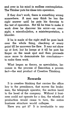and over in his mind in endless contemplation. The Thinker puts his ideas into operation.

If they don't work, there is something wrong somewhere. A man may think he has the right answer until he puts his theories to the test of operation. Not till he tries to make it work does he discover his error-an oversight, a miscalculation, a misinterpretation, a blunder.

If he is made of the right stuff he goes back over the whole thing, checking at every point till he uncovers the flaw. It may not show up at first, but he keeps at it till he puts his finger on the weak spot and then proceeds once more to demonstrate his conclusionsto make them work.

What began as theory, as speculation, becomes in the process of Execution a proven fact-the end product of Creative Thinking.

#### **Rewards**

It is creative thinking that carries the office boy to the presidency, that moves the brakeman, the telegraph operator, the section hand to the head of the company. Without it business could not operate for a day, the wheels of production would cease to turn, the entire business structure would collapse.

Have you got it? It is invaluable to any